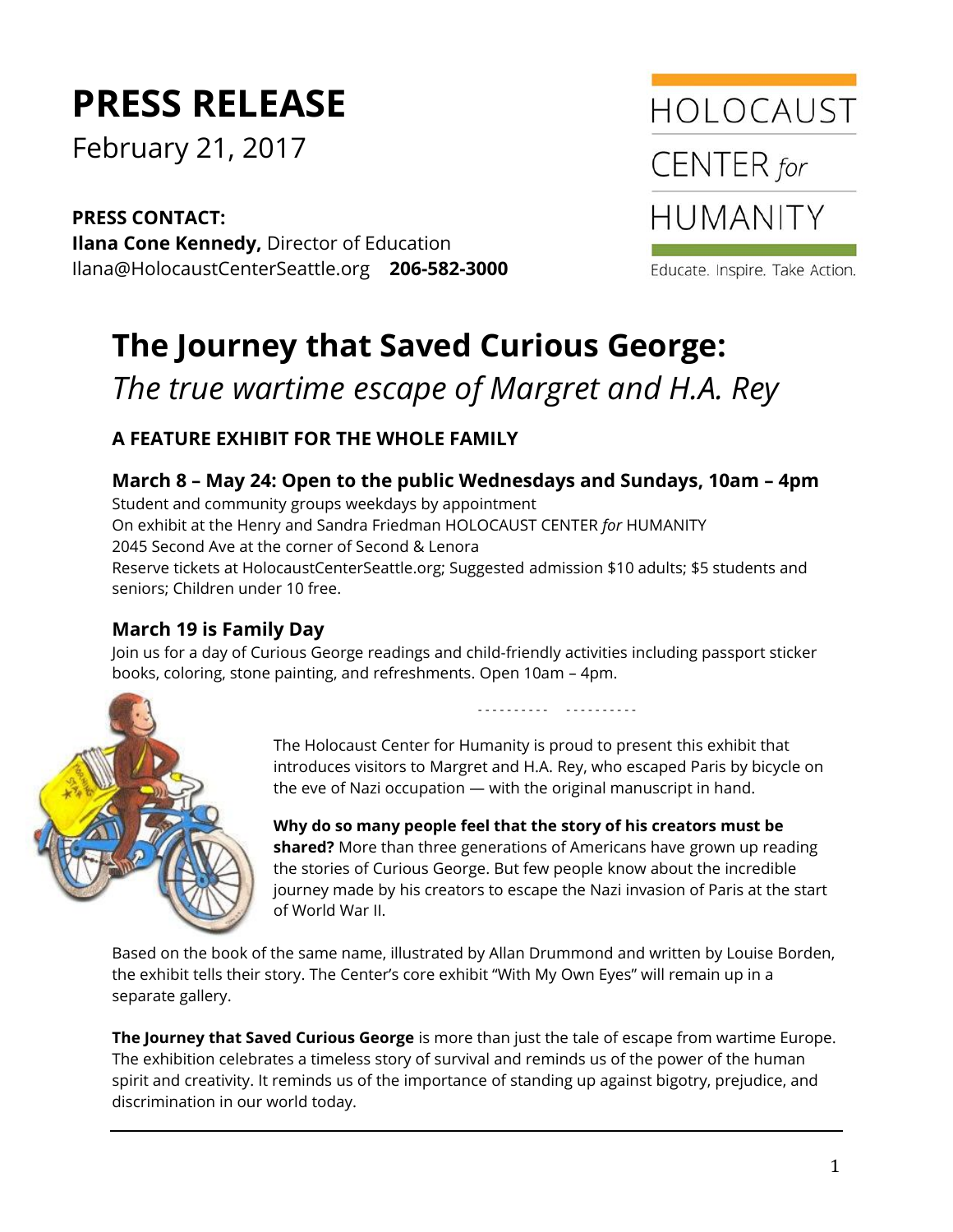# **PRESS RELEASE**

February 21, 2017

**PRESS CONTACT: Ilana Cone Kennedy,** Director of Education Ilana@HolocaustCenterSeattle.org **206-582-3000**



Educate. Inspire. Take Action.

# **The Journey that Saved Curious George:**  *The true wartime escape of Margret and H.A. Rey*

## **A FEATURE EXHIBIT FOR THE WHOLE FAMILY**

#### **March 8 – May 24: Open to the public Wednesdays and Sundays, 10am – 4pm**

Student and community groups weekdays by appointment On exhibit at the Henry and Sandra Friedman HOLOCAUST CENTER *for* HUMANITY 2045 Second Ave at the corner of Second & Lenora Reserve tickets at HolocaustCenterSeattle.org; Suggested admission \$10 adults; \$5 students and seniors; Children under 10 free.

### **March 19 is Family Day**

Join us for a day of Curious George readings and child-friendly activities including passport sticker books, coloring, stone painting, and refreshments. Open 10am – 4pm.



- - - - - - - - - - - - - - - - - - - -

The Holocaust Center for Humanity is proud to present this exhibit that introduces visitors to Margret and H.A. Rey, who escaped Paris by bicycle on the eve of Nazi occupation — with the original manuscript in hand.

**Why do so many people feel that the story of his creators must be shared?** More than three generations of Americans have grown up reading the stories of Curious George. But few people know about the incredible journey made by his creators to escape the Nazi invasion of Paris at the start of World War II.

Based on the book of the same name, illustrated by Allan Drummond and written by Louise Borden, the exhibit tells their story. The Center's core exhibit "With My Own Eyes" will remain up in a separate gallery.

**The Journey that Saved Curious George** is more than just the tale of escape from wartime Europe. The exhibition celebrates a timeless story of survival and reminds us of the power of the human spirit and creativity. It reminds us of the importance of standing up against bigotry, prejudice, and discrimination in our world today.